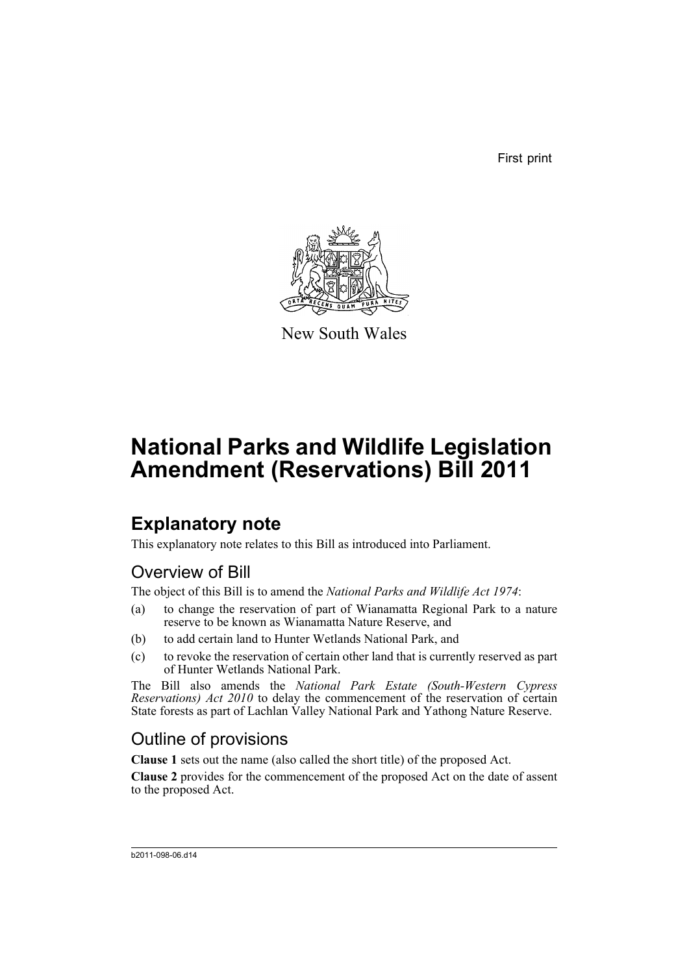First print



New South Wales

# **National Parks and Wildlife Legislation Amendment (Reservations) Bill 2011**

## **Explanatory note**

This explanatory note relates to this Bill as introduced into Parliament.

### Overview of Bill

The object of this Bill is to amend the *National Parks and Wildlife Act 1974*:

- (a) to change the reservation of part of Wianamatta Regional Park to a nature reserve to be known as Wianamatta Nature Reserve, and
- (b) to add certain land to Hunter Wetlands National Park, and
- (c) to revoke the reservation of certain other land that is currently reserved as part of Hunter Wetlands National Park.

The Bill also amends the *National Park Estate (South-Western Cypress Reservations) Act 2010* to delay the commencement of the reservation of certain State forests as part of Lachlan Valley National Park and Yathong Nature Reserve.

### Outline of provisions

**Clause 1** sets out the name (also called the short title) of the proposed Act.

**Clause 2** provides for the commencement of the proposed Act on the date of assent to the proposed Act.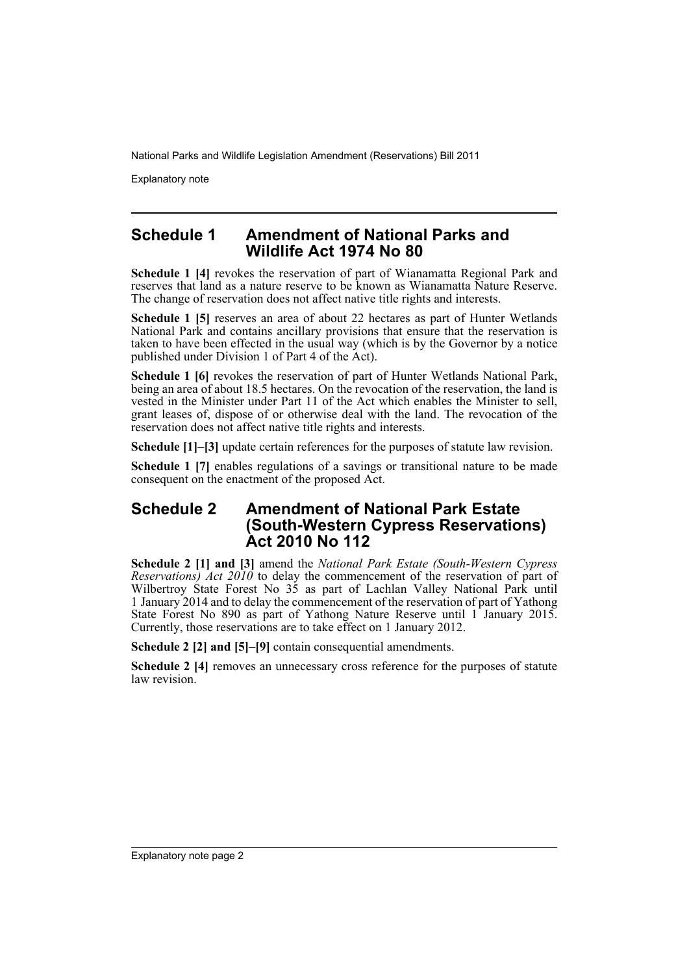Explanatory note

#### **Schedule 1 Amendment of National Parks and Wildlife Act 1974 No 80**

**Schedule 1 [4]** revokes the reservation of part of Wianamatta Regional Park and reserves that land as a nature reserve to be known as Wianamatta Nature Reserve. The change of reservation does not affect native title rights and interests.

**Schedule 1 [5]** reserves an area of about 22 hectares as part of Hunter Wetlands National Park and contains ancillary provisions that ensure that the reservation is taken to have been effected in the usual way (which is by the Governor by a notice published under Division 1 of Part 4 of the Act).

Schedule 1 [6] revokes the reservation of part of Hunter Wetlands National Park, being an area of about 18.5 hectares. On the revocation of the reservation, the land is vested in the Minister under Part 11 of the Act which enables the Minister to sell, grant leases of, dispose of or otherwise deal with the land. The revocation of the reservation does not affect native title rights and interests.

**Schedule [1]–[3]** update certain references for the purposes of statute law revision.

**Schedule 1** [7] enables regulations of a savings or transitional nature to be made consequent on the enactment of the proposed Act.

#### **Schedule 2 Amendment of National Park Estate (South-Western Cypress Reservations) Act 2010 No 112**

**Schedule 2 [1] and [3]** amend the *National Park Estate (South-Western Cypress Reservations) Act 2010* to delay the commencement of the reservation of part of Wilbertroy State Forest No 35 as part of Lachlan Valley National Park until 1 January 2014 and to delay the commencement of the reservation of part of Yathong State Forest No 890 as part of Yathong Nature Reserve until 1 January 2015. Currently, those reservations are to take effect on 1 January 2012.

**Schedule 2 [2] and [5]–[9]** contain consequential amendments.

**Schedule 2 [4]** removes an unnecessary cross reference for the purposes of statute law revision<sup>1</sup>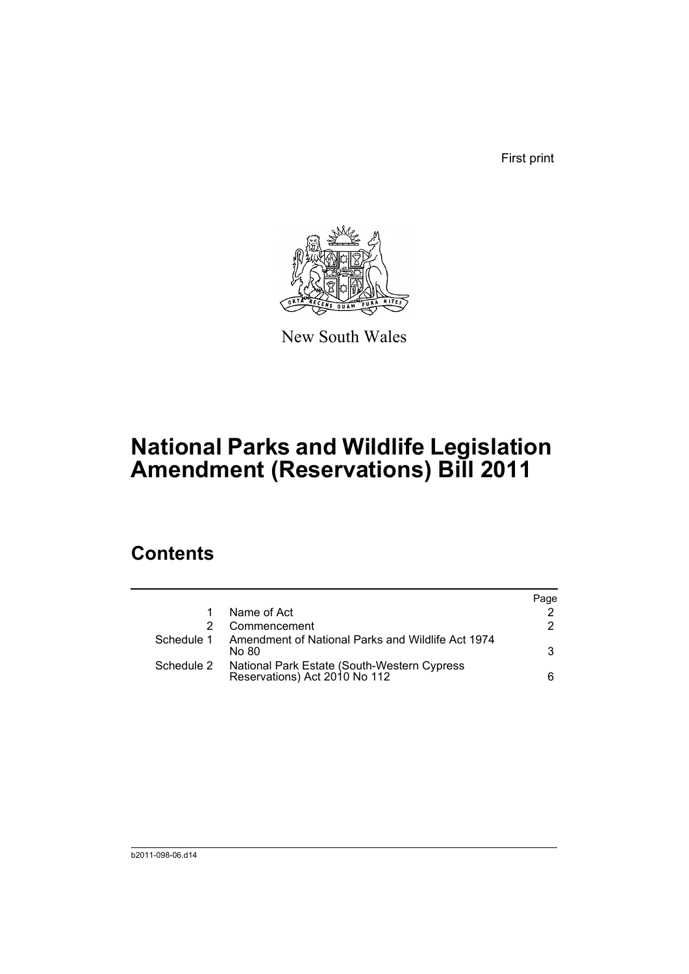First print



New South Wales

# **National Parks and Wildlife Legislation Amendment (Reservations) Bill 2011**

### **Contents**

|            |                                                                              | Page |
|------------|------------------------------------------------------------------------------|------|
|            | Name of Act                                                                  |      |
|            | Commencement                                                                 | 2    |
| Schedule 1 | Amendment of National Parks and Wildlife Act 1974<br>No 80.                  | 3    |
| Schedule 2 | National Park Estate (South-Western Cypress<br>Reservations) Act 2010 No 112 | 6    |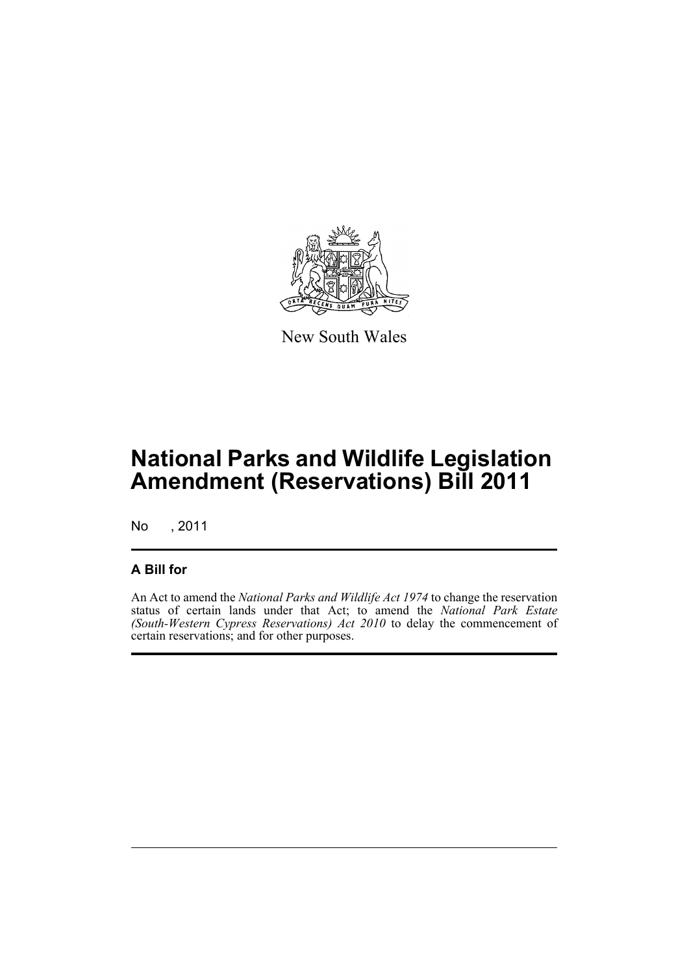

New South Wales

## **National Parks and Wildlife Legislation Amendment (Reservations) Bill 2011**

No , 2011

### **A Bill for**

An Act to amend the *National Parks and Wildlife Act 1974* to change the reservation status of certain lands under that Act; to amend the *National Park Estate (South-Western Cypress Reservations) Act 2010* to delay the commencement of certain reservations; and for other purposes.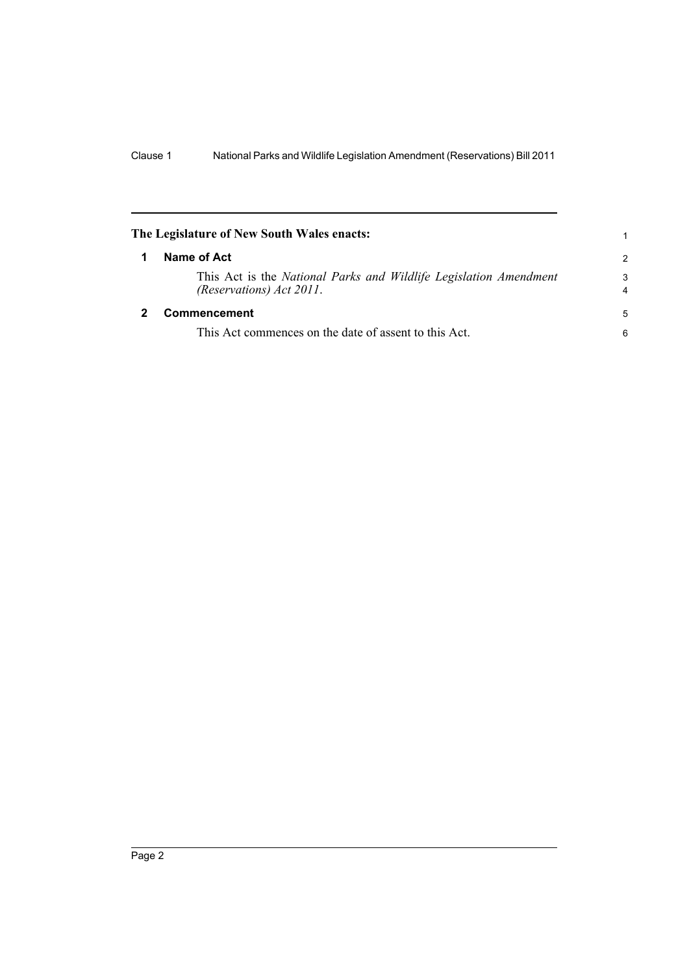<span id="page-5-1"></span><span id="page-5-0"></span>

| The Legislature of New South Wales enacts:                                                    | 1             |
|-----------------------------------------------------------------------------------------------|---------------|
| Name of Act                                                                                   | $\mathcal{P}$ |
| This Act is the National Parks and Wildlife Legislation Amendment<br>(Reservations) Act 2011. | 3<br>4        |
| Commencement                                                                                  | 5             |
| This Act commences on the date of assent to this Act.                                         | 6             |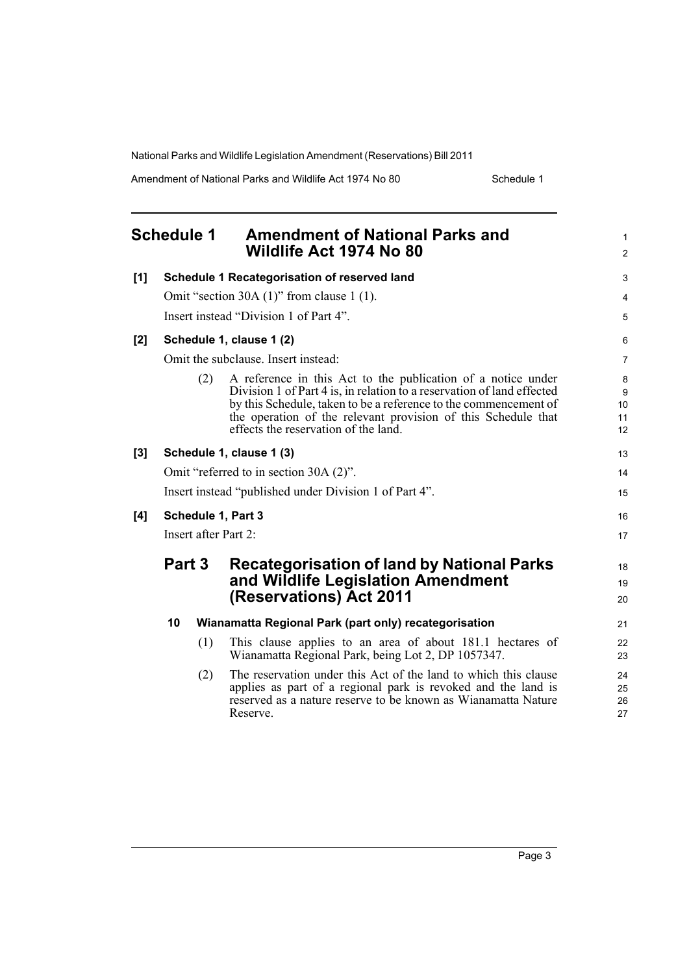Amendment of National Parks and Wildlife Act 1974 No 80 Schedule 1

<span id="page-6-0"></span>

|     | <b>Schedule 1</b>                                      |     | <b>Amendment of National Parks and</b><br>Wildlife Act 1974 No 80                                                                                                                                                                                                                                                   | $\mathbf{1}$<br>$\overline{2}$ |  |
|-----|--------------------------------------------------------|-----|---------------------------------------------------------------------------------------------------------------------------------------------------------------------------------------------------------------------------------------------------------------------------------------------------------------------|--------------------------------|--|
| [1] | Schedule 1 Recategorisation of reserved land           |     |                                                                                                                                                                                                                                                                                                                     |                                |  |
|     |                                                        |     | Omit "section 30A $(1)$ " from clause 1 $(1)$ .                                                                                                                                                                                                                                                                     | 4                              |  |
|     |                                                        |     | Insert instead "Division 1 of Part 4".                                                                                                                                                                                                                                                                              | 5                              |  |
| [2] |                                                        |     | Schedule 1, clause 1 (2)                                                                                                                                                                                                                                                                                            | 6                              |  |
|     |                                                        |     | Omit the subclause. Insert instead:                                                                                                                                                                                                                                                                                 | 7                              |  |
|     |                                                        | (2) | A reference in this Act to the publication of a notice under<br>Division 1 of Part 4 is, in relation to a reservation of land effected<br>by this Schedule, taken to be a reference to the commencement of<br>the operation of the relevant provision of this Schedule that<br>effects the reservation of the land. | 8<br>9<br>10<br>11<br>12       |  |
| [3] | Schedule 1, clause 1 (3)                               |     |                                                                                                                                                                                                                                                                                                                     |                                |  |
|     |                                                        |     | Omit "referred to in section 30A (2)".                                                                                                                                                                                                                                                                              | 14                             |  |
|     | Insert instead "published under Division 1 of Part 4". |     |                                                                                                                                                                                                                                                                                                                     |                                |  |
| [4] | Schedule 1, Part 3                                     |     |                                                                                                                                                                                                                                                                                                                     |                                |  |
|     | Insert after Part 2:                                   |     |                                                                                                                                                                                                                                                                                                                     |                                |  |
|     | Part 3                                                 |     | <b>Recategorisation of land by National Parks</b><br>and Wildlife Legislation Amendment<br>(Reservations) Act 2011                                                                                                                                                                                                  | 18<br>19<br>20                 |  |
|     | 10                                                     |     | Wianamatta Regional Park (part only) recategorisation                                                                                                                                                                                                                                                               | 21                             |  |
|     |                                                        | (1) | This clause applies to an area of about 181.1 hectares of<br>Wianamatta Regional Park, being Lot 2, DP 1057347.                                                                                                                                                                                                     | 22<br>23                       |  |
|     |                                                        | (2) | The reservation under this Act of the land to which this clause<br>applies as part of a regional park is revoked and the land is<br>reserved as a nature reserve to be known as Wianamatta Nature<br>Reserve.                                                                                                       | 24<br>25<br>26<br>27           |  |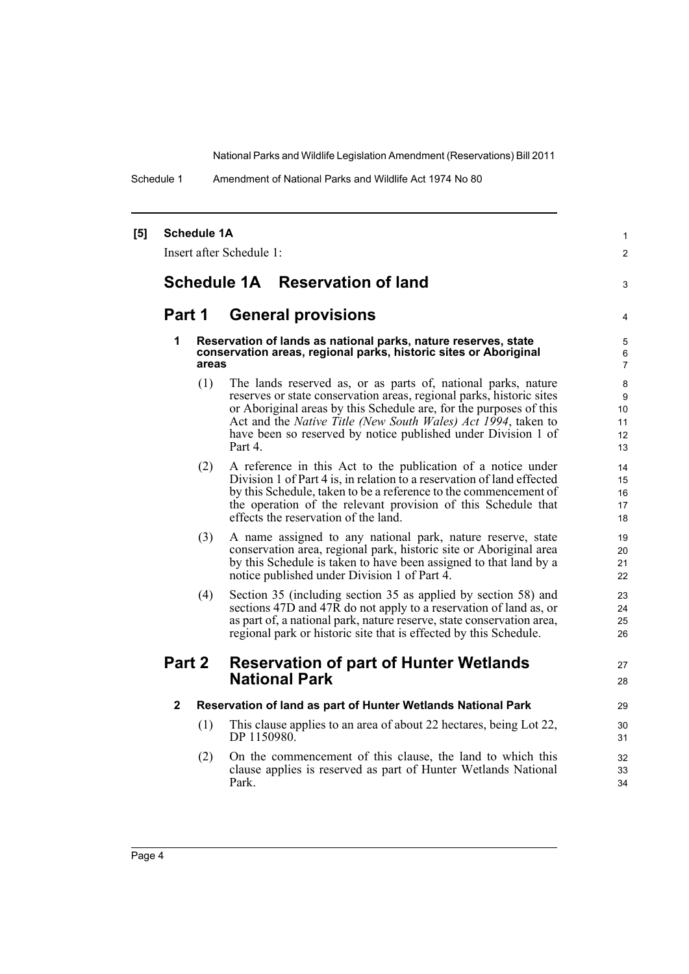Schedule 1 Amendment of National Parks and Wildlife Act 1974 No 80

| [5] | <b>Schedule 1A</b> | Insert after Schedule 1:                                                                                                                                                                                                                                                                                                                                         |  |
|-----|--------------------|------------------------------------------------------------------------------------------------------------------------------------------------------------------------------------------------------------------------------------------------------------------------------------------------------------------------------------------------------------------|--|
|     |                    | Schedule 1A Reservation of land                                                                                                                                                                                                                                                                                                                                  |  |
|     | Part 1             | <b>General provisions</b>                                                                                                                                                                                                                                                                                                                                        |  |
|     | 1<br>areas         | Reservation of lands as national parks, nature reserves, state<br>conservation areas, regional parks, historic sites or Aboriginal                                                                                                                                                                                                                               |  |
|     | (1)                | The lands reserved as, or as parts of, national parks, nature<br>reserves or state conservation areas, regional parks, historic sites<br>or Aboriginal areas by this Schedule are, for the purposes of this<br>Act and the <i>Native Title (New South Wales) Act 1994</i> , taken to<br>have been so reserved by notice published under Division 1 of<br>Part 4. |  |
|     | (2)                | A reference in this Act to the publication of a notice under<br>Division 1 of Part 4 is, in relation to a reservation of land effected<br>by this Schedule, taken to be a reference to the commencement of<br>the operation of the relevant provision of this Schedule that<br>effects the reservation of the land.                                              |  |
|     | (3)                | A name assigned to any national park, nature reserve, state<br>conservation area, regional park, historic site or Aboriginal area<br>by this Schedule is taken to have been assigned to that land by a<br>notice published under Division 1 of Part 4.                                                                                                           |  |
|     | (4)                | Section 35 (including section 35 as applied by section 58) and<br>sections 47D and 47R do not apply to a reservation of land as, or<br>as part of, a national park, nature reserve, state conservation area,<br>regional park or historic site that is effected by this Schedule.                                                                                |  |
|     | Part 2             | <b>Reservation of part of Hunter Wetlands</b><br><b>National Park</b>                                                                                                                                                                                                                                                                                            |  |
|     | $\mathbf{2}$       | Reservation of land as part of Hunter Wetlands National Park                                                                                                                                                                                                                                                                                                     |  |
|     | (1)                | This clause applies to an area of about 22 hectares, being Lot 22,<br>DP 1150980.                                                                                                                                                                                                                                                                                |  |
|     | (2)                | On the commencement of this clause, the land to which this<br>clause applies is reserved as part of Hunter Wetlands National<br>Park.                                                                                                                                                                                                                            |  |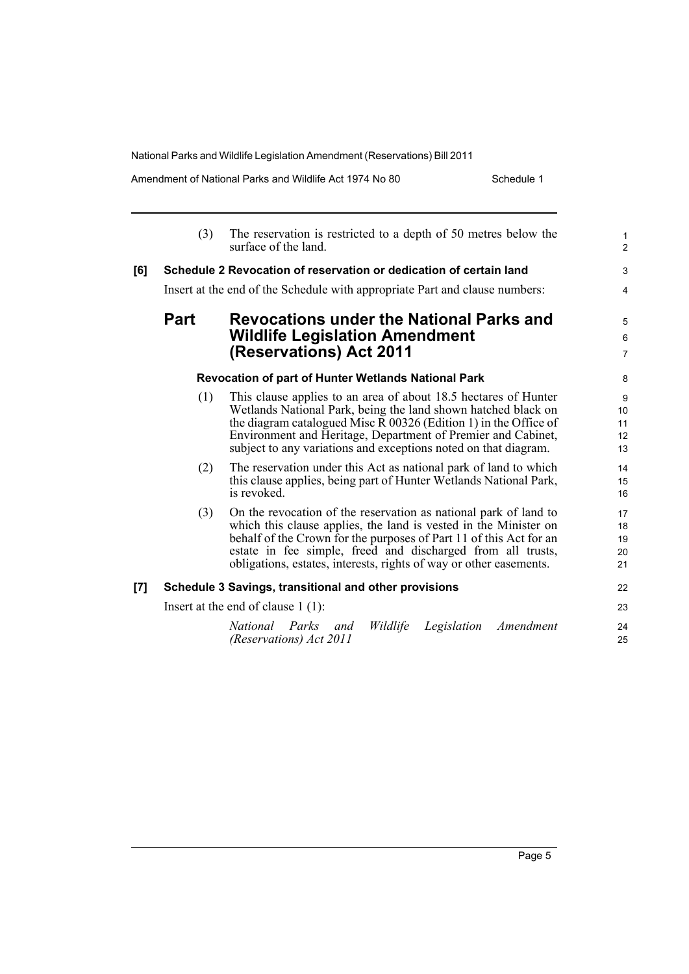| Amendment of National Parks and Wildlife Act 1974 No 80 |  |
|---------------------------------------------------------|--|
|---------------------------------------------------------|--|

Schedule 1

|     | (3)                                  | The reservation is restricted to a depth of 50 metres below the<br>surface of the land.                                                                                                                                                                                                                                                         | $\mathbf{1}$<br>2          |  |
|-----|--------------------------------------|-------------------------------------------------------------------------------------------------------------------------------------------------------------------------------------------------------------------------------------------------------------------------------------------------------------------------------------------------|----------------------------|--|
| [6] |                                      | Schedule 2 Revocation of reservation or dedication of certain land                                                                                                                                                                                                                                                                              | 3                          |  |
|     |                                      | Insert at the end of the Schedule with appropriate Part and clause numbers:                                                                                                                                                                                                                                                                     | 4                          |  |
|     | <b>Part</b>                          | <b>Revocations under the National Parks and</b><br><b>Wildlife Legislation Amendment</b><br>(Reservations) Act 2011                                                                                                                                                                                                                             |                            |  |
|     |                                      | Revocation of part of Hunter Wetlands National Park                                                                                                                                                                                                                                                                                             | 8                          |  |
|     | (1)                                  | This clause applies to an area of about 18.5 hectares of Hunter<br>Wetlands National Park, being the land shown hatched black on<br>the diagram catalogued Misc R 00326 (Edition 1) in the Office of<br>Environment and Heritage, Department of Premier and Cabinet,<br>subject to any variations and exceptions noted on that diagram.         | 9<br>10<br>11<br>12<br>13  |  |
|     | (2)                                  | The reservation under this Act as national park of land to which<br>this clause applies, being part of Hunter Wetlands National Park,<br>is revoked.                                                                                                                                                                                            | 14<br>15<br>16             |  |
|     | (3)                                  | On the revocation of the reservation as national park of land to<br>which this clause applies, the land is vested in the Minister on<br>behalf of the Crown for the purposes of Part 11 of this Act for an<br>estate in fee simple, freed and discharged from all trusts,<br>obligations, estates, interests, rights of way or other easements. | 17<br>18<br>19<br>20<br>21 |  |
| [7] |                                      | Schedule 3 Savings, transitional and other provisions                                                                                                                                                                                                                                                                                           | 22                         |  |
|     | Insert at the end of clause $1(1)$ : |                                                                                                                                                                                                                                                                                                                                                 |                            |  |
|     |                                      | Wildlife<br>Legislation<br>Amendment<br>National Parks and<br>(Reservations) Act 2011                                                                                                                                                                                                                                                           | 24<br>25                   |  |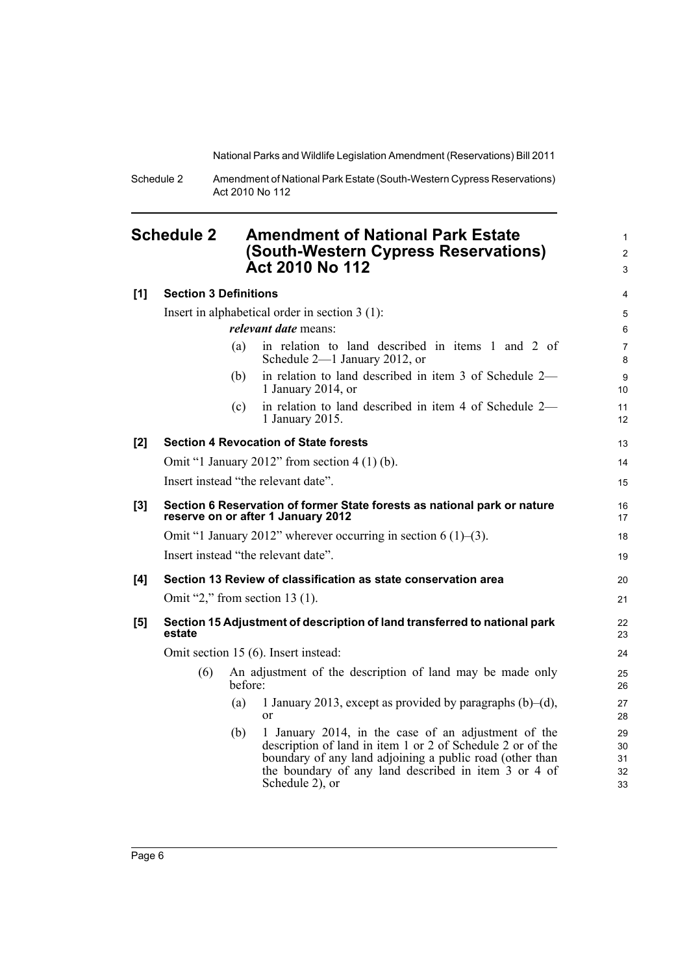1 2 3

Schedule 2 Amendment of National Park Estate (South-Western Cypress Reservations) Act 2010 No 112

### <span id="page-9-0"></span>**Schedule 2 Amendment of National Park Estate (South-Western Cypress Reservations) Act 2010 No 112**

| [1] | <b>Section 3 Definitions</b>                                                                                   |                             |                                                                                                                                                                                                                                                          | 4                          |  |  |
|-----|----------------------------------------------------------------------------------------------------------------|-----------------------------|----------------------------------------------------------------------------------------------------------------------------------------------------------------------------------------------------------------------------------------------------------|----------------------------|--|--|
|     | Insert in alphabetical order in section $3(1)$ :                                                               |                             |                                                                                                                                                                                                                                                          |                            |  |  |
|     |                                                                                                                | <i>relevant date</i> means: |                                                                                                                                                                                                                                                          |                            |  |  |
|     |                                                                                                                | (a)                         | in relation to land described in items 1 and 2 of<br>Schedule 2-1 January 2012, or                                                                                                                                                                       | 7<br>8                     |  |  |
|     |                                                                                                                | (b)                         | in relation to land described in item 3 of Schedule 2-<br>1 January 2014, or                                                                                                                                                                             | $\boldsymbol{9}$<br>10     |  |  |
|     |                                                                                                                | (c)                         | in relation to land described in item 4 of Schedule 2—<br>1 January 2015.                                                                                                                                                                                | 11<br>12                   |  |  |
| [2] |                                                                                                                |                             | <b>Section 4 Revocation of State forests</b>                                                                                                                                                                                                             | 13                         |  |  |
|     |                                                                                                                |                             | Omit "1 January 2012" from section $4(1)(b)$ .                                                                                                                                                                                                           | 14                         |  |  |
|     |                                                                                                                |                             | Insert instead "the relevant date".                                                                                                                                                                                                                      | 15                         |  |  |
| [3] | Section 6 Reservation of former State forests as national park or nature<br>reserve on or after 1 January 2012 |                             |                                                                                                                                                                                                                                                          | 16<br>17                   |  |  |
|     | Omit "1 January 2012" wherever occurring in section 6 (1)–(3).                                                 |                             |                                                                                                                                                                                                                                                          |                            |  |  |
|     | Insert instead "the relevant date".                                                                            |                             |                                                                                                                                                                                                                                                          |                            |  |  |
| [4] |                                                                                                                |                             | Section 13 Review of classification as state conservation area                                                                                                                                                                                           | 20                         |  |  |
|     |                                                                                                                |                             | Omit "2," from section 13 $(1)$ .                                                                                                                                                                                                                        | 21                         |  |  |
| [5] | estate                                                                                                         |                             | Section 15 Adjustment of description of land transferred to national park                                                                                                                                                                                | 22<br>23                   |  |  |
|     | Omit section 15 (6). Insert instead:                                                                           |                             |                                                                                                                                                                                                                                                          |                            |  |  |
|     | (6)                                                                                                            | before:                     | An adjustment of the description of land may be made only                                                                                                                                                                                                | 25<br>26                   |  |  |
|     |                                                                                                                | (a)                         | 1 January 2013, except as provided by paragraphs $(b)$ – $(d)$ ,<br><sub>or</sub>                                                                                                                                                                        | 27<br>28                   |  |  |
|     |                                                                                                                | (b)                         | 1 January 2014, in the case of an adjustment of the<br>description of land in item 1 or 2 of Schedule 2 or of the<br>boundary of any land adjoining a public road (other than<br>the boundary of any land described in item 3 or 4 of<br>Schedule 2), or | 29<br>30<br>31<br>32<br>33 |  |  |